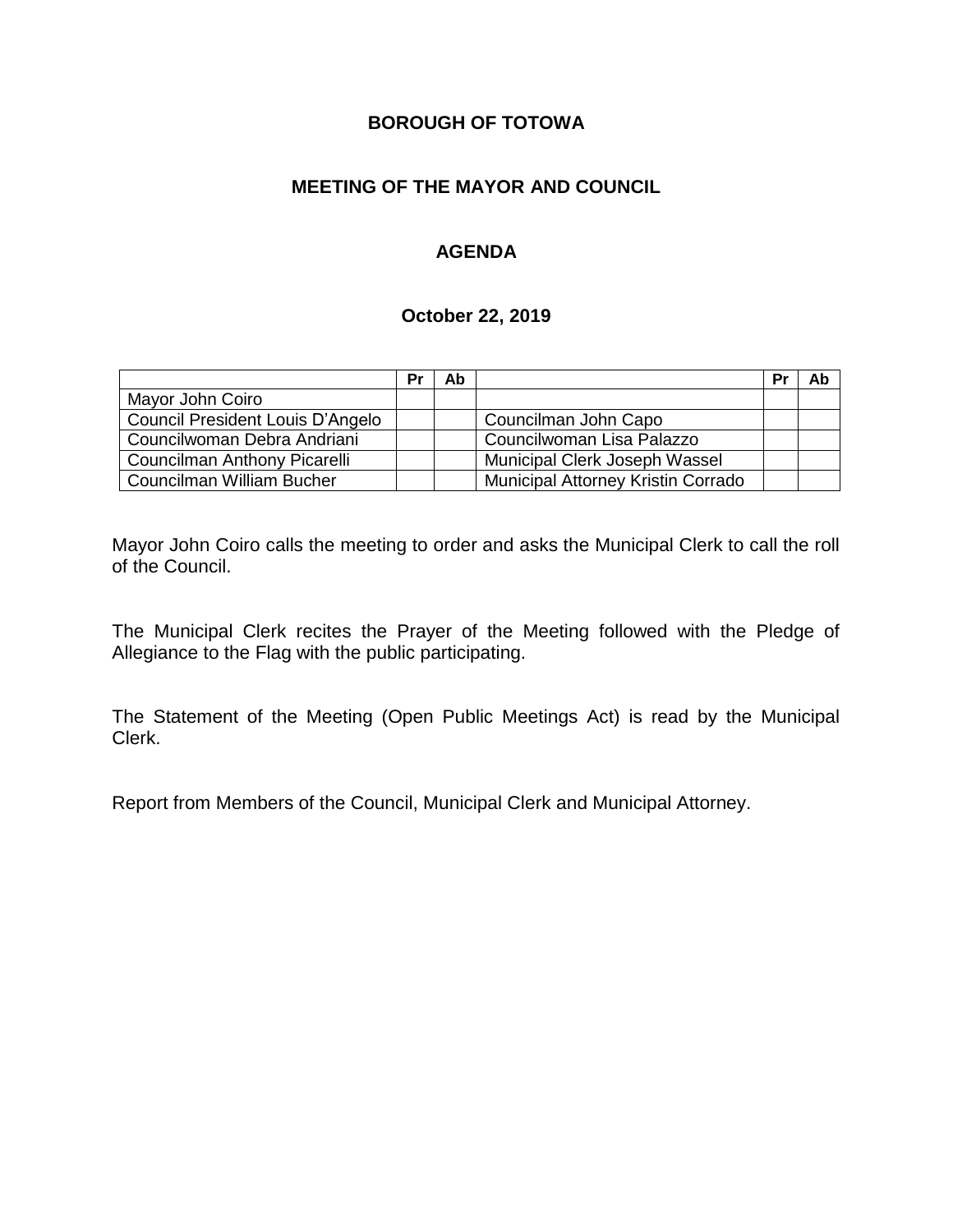## **BOROUGH OF TOTOWA**

## **MEETING OF THE MAYOR AND COUNCIL**

## **AGENDA**

#### **October 22, 2019**

|                                  | Pr | Ab |                                    | Pr | Ab |
|----------------------------------|----|----|------------------------------------|----|----|
| Mayor John Coiro                 |    |    |                                    |    |    |
| Council President Louis D'Angelo |    |    | Councilman John Capo               |    |    |
| Councilwoman Debra Andriani      |    |    | Councilwoman Lisa Palazzo          |    |    |
| Councilman Anthony Picarelli     |    |    | Municipal Clerk Joseph Wassel      |    |    |
| Councilman William Bucher        |    |    | Municipal Attorney Kristin Corrado |    |    |

Mayor John Coiro calls the meeting to order and asks the Municipal Clerk to call the roll of the Council.

The Municipal Clerk recites the Prayer of the Meeting followed with the Pledge of Allegiance to the Flag with the public participating.

The Statement of the Meeting (Open Public Meetings Act) is read by the Municipal Clerk.

Report from Members of the Council, Municipal Clerk and Municipal Attorney.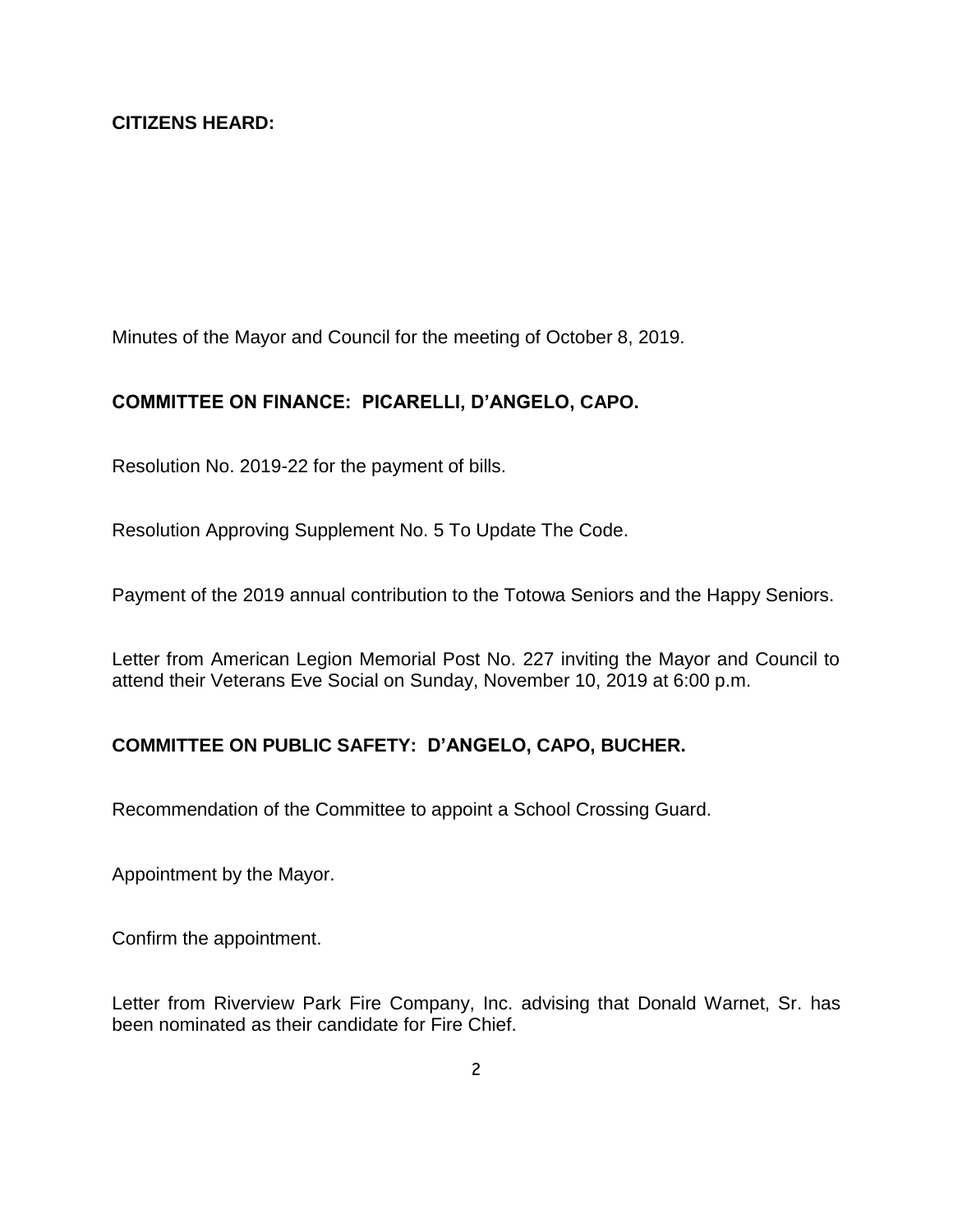Minutes of the Mayor and Council for the meeting of October 8, 2019.

## **COMMITTEE ON FINANCE: PICARELLI, D'ANGELO, CAPO.**

Resolution No. 2019-22 for the payment of bills.

Resolution Approving Supplement No. 5 To Update The Code.

Payment of the 2019 annual contribution to the Totowa Seniors and the Happy Seniors.

Letter from American Legion Memorial Post No. 227 inviting the Mayor and Council to attend their Veterans Eve Social on Sunday, November 10, 2019 at 6:00 p.m.

# **COMMITTEE ON PUBLIC SAFETY: D'ANGELO, CAPO, BUCHER.**

Recommendation of the Committee to appoint a School Crossing Guard.

Appointment by the Mayor.

Confirm the appointment.

Letter from Riverview Park Fire Company, Inc. advising that Donald Warnet, Sr. has been nominated as their candidate for Fire Chief.